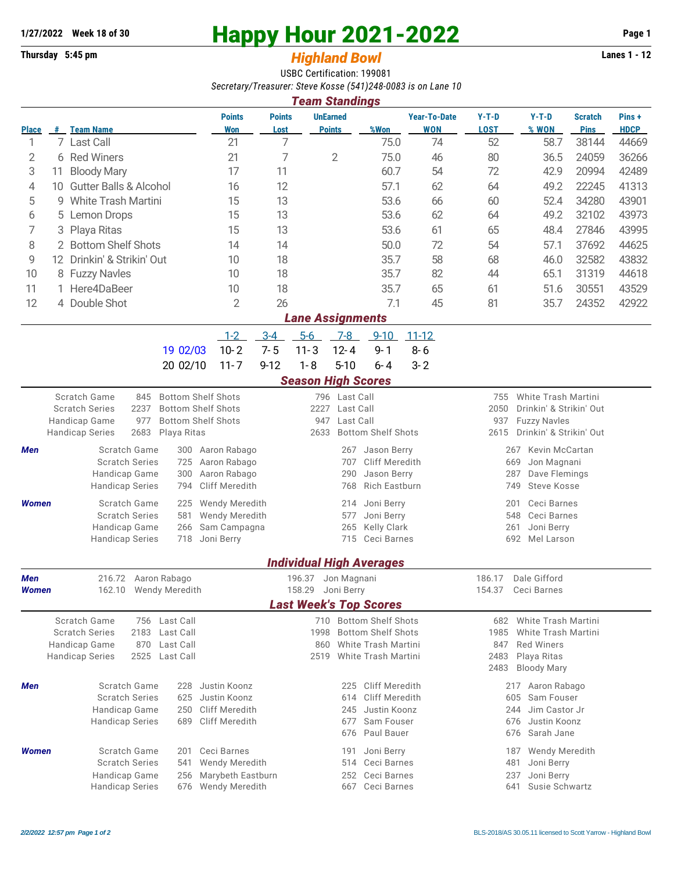## **1/27/2022** Week 18 of 30<br> **Happy Hour 2021-2022** Page 1<br> **Highland Rowl** Lanes 1 - 12<br>
Lanes 1 - 12

## **Thursday 5:45 pm** *Highland Bowl*

USBC Certification: 199081 *Secretary/Treasurer: Steve Kosse (541)248-0083 is on Lane 10*

| <b>Team Standings</b>                                                                  |                                            |                                       |                                                        |                               |                                                |                                         |                              |                                 |                     |                                                               |                                     |                |             |  |  |  |
|----------------------------------------------------------------------------------------|--------------------------------------------|---------------------------------------|--------------------------------------------------------|-------------------------------|------------------------------------------------|-----------------------------------------|------------------------------|---------------------------------|---------------------|---------------------------------------------------------------|-------------------------------------|----------------|-------------|--|--|--|
|                                                                                        |                                            |                                       |                                                        | <b>Points</b>                 | <b>Points</b>                                  |                                         | <b>UnEarned</b>              |                                 | <b>Year-To-Date</b> | $Y-T-D$                                                       | $Y-T-D$                             | <b>Scratch</b> | Pins+       |  |  |  |
| <b>Place</b>                                                                           |                                            | # Team Name                           |                                                        | Won                           | Lost                                           |                                         | <b>Points</b>                | %Won                            | <b>WON</b>          | <b>LOST</b>                                                   | % WON                               | <b>Pins</b>    | <b>HDCP</b> |  |  |  |
| 1                                                                                      |                                            | 7 Last Call                           |                                                        | 21                            | 7                                              |                                         |                              | 75.0                            | 74                  | 52                                                            | 58.7                                | 38144          | 44669       |  |  |  |
| $\overline{2}$                                                                         |                                            | 6 Red Winers                          | 21                                                     | 7                             |                                                | $\mathbf{2}$                            | 75.0                         | 46                              | 80                  | 36.5                                                          | 24059                               | 36266          |             |  |  |  |
| 3                                                                                      | 11                                         | <b>Bloody Mary</b>                    |                                                        | 17                            | 11                                             |                                         |                              | 60.7                            | 54                  | 72                                                            | 42.9                                | 20994          | 42489       |  |  |  |
| 4                                                                                      | 10                                         | <b>Gutter Balls &amp; Alcohol</b>     |                                                        | 16                            | 12                                             |                                         |                              | 57.1                            | 62                  | 64                                                            | 49.2                                | 22245          | 41313       |  |  |  |
| 5                                                                                      | 9.                                         | <b>White Trash Martini</b>            |                                                        | 15                            | 13                                             |                                         |                              | 53.6                            | 66                  | 60                                                            | 52.4                                | 34280          | 43901       |  |  |  |
| 6                                                                                      | Lemon Drops<br>5                           |                                       |                                                        | 15                            | 13                                             |                                         |                              | 53.6                            | 62                  | 64                                                            | 49.2                                | 32102          | 43973       |  |  |  |
| 7                                                                                      |                                            | 3 Playa Ritas                         | 15                                                     | 13                            |                                                |                                         | 53.6                         | 61                              | 65                  | 48.4                                                          | 27846                               | 43995          |             |  |  |  |
| 8                                                                                      |                                            | 2 Bottom Shelf Shots                  |                                                        | 14                            | 14                                             |                                         |                              | 50.0                            | 72                  | 54                                                            | 57.1                                | 37692          | 44625       |  |  |  |
| 9                                                                                      | Drinkin' & Strikin' Out<br>12 <sup>2</sup> |                                       |                                                        |                               | 18                                             |                                         |                              | 35.7                            | 58                  | 68                                                            | 46.0                                | 32582          | 43832       |  |  |  |
| 10                                                                                     |                                            | 8 Fuzzy Navles                        |                                                        | 10                            | 18                                             |                                         |                              | 35.7                            | 82                  | 44                                                            | 65.1                                | 31319          | 44618       |  |  |  |
| 11                                                                                     |                                            | 1 Here4DaBeer                         |                                                        | 10                            | 18                                             |                                         |                              | 35.7                            | 65                  | 61                                                            | 51.6                                | 30551          | 43529       |  |  |  |
| 12                                                                                     |                                            | 4 Double Shot                         |                                                        | $\overline{2}$                | 26                                             |                                         |                              | 7.1                             | 45                  | 81                                                            | 35.7                                | 24352          | 42922       |  |  |  |
|                                                                                        |                                            |                                       |                                                        |                               |                                                |                                         |                              |                                 |                     |                                                               |                                     |                |             |  |  |  |
| <b>Lane Assignments</b><br>$5-6$<br>$1-2$<br>$3 - 4$<br>$7-8$<br>$9 - 10$<br>$11 - 12$ |                                            |                                       |                                                        |                               |                                                |                                         |                              |                                 |                     |                                                               |                                     |                |             |  |  |  |
|                                                                                        |                                            |                                       | 19 02/03                                               | $10 - 2$                      | $7 - 5$                                        | $11 - 3$                                | $12 - 4$                     | $9 - 1$                         |                     |                                                               |                                     |                |             |  |  |  |
|                                                                                        |                                            |                                       |                                                        |                               |                                                |                                         |                              |                                 | $8 - 6$             |                                                               |                                     |                |             |  |  |  |
|                                                                                        |                                            |                                       | 20 02/10                                               | $11 - 7$                      | $9 - 12$                                       | $1 - 8$                                 | $5 - 10$                     | $6 - 4$                         | $3 - 2$             |                                                               |                                     |                |             |  |  |  |
|                                                                                        |                                            |                                       |                                                        |                               |                                                | <b>Season High Scores</b>               |                              |                                 |                     |                                                               |                                     |                |             |  |  |  |
|                                                                                        |                                            | Scratch Game<br>845                   | <b>Bottom Shelf Shots</b><br><b>Bottom Shelf Shots</b> |                               |                                                |                                         | 796 Last Call                |                                 |                     | 755                                                           | <b>White Trash Martini</b>          |                |             |  |  |  |
| 2237<br><b>Scratch Series</b><br>977<br>Handicap Game                                  |                                            |                                       |                                                        | <b>Bottom Shelf Shots</b>     |                                                | 2227<br>947                             | Last Call<br>Last Call       |                                 |                     | 2050<br>Drinkin' & Strikin' Out<br><b>Fuzzy Navles</b><br>937 |                                     |                |             |  |  |  |
|                                                                                        |                                            | <b>Handicap Series</b><br>2683        | Playa Ritas                                            |                               |                                                | 2633                                    |                              | <b>Bottom Shelf Shots</b>       |                     | Drinkin' & Strikin' Out<br>2615                               |                                     |                |             |  |  |  |
| Men                                                                                    |                                            | Scratch Game                          | 300                                                    | Aaron Rabago                  | Jason Berry<br>267                             |                                         |                              |                                 |                     |                                                               | Kevin McCartan<br>267               |                |             |  |  |  |
|                                                                                        |                                            | <b>Scratch Series</b>                 | 725                                                    | Aaron Rabago                  |                                                |                                         | <b>Cliff Meredith</b><br>707 |                                 |                     | 669<br>Jon Magnani                                            |                                     |                |             |  |  |  |
|                                                                                        |                                            | Handicap Game                         | Aaron Rabago                                           |                               | 290                                            | Jason Berry                             |                              | 287<br>Dave Flemings            |                     |                                                               |                                     |                |             |  |  |  |
|                                                                                        |                                            | <b>Handicap Series</b>                | 794                                                    | <b>Cliff Meredith</b>         |                                                |                                         | 768                          | <b>Rich Eastburn</b>            |                     | <b>Steve Kosse</b><br>749                                     |                                     |                |             |  |  |  |
| <b>Women</b>                                                                           |                                            | Scratch Game                          | 225                                                    | Wendy Meredith                |                                                |                                         | 214                          | Joni Berry                      |                     |                                                               | 201<br>Ceci Barnes                  |                |             |  |  |  |
|                                                                                        |                                            | <b>Scratch Series</b>                 | <b>Wendy Meredith</b>                                  |                               | 577                                            | Joni Berry                              |                              | 548<br>Ceci Barnes              |                     |                                                               |                                     |                |             |  |  |  |
|                                                                                        | Handicap Game<br>266                       |                                       |                                                        | Sam Campagna                  | <b>Kelly Clark</b><br>265                      |                                         |                              |                                 |                     |                                                               | 261<br>Joni Berry                   |                |             |  |  |  |
|                                                                                        |                                            | <b>Handicap Series</b>                | 718                                                    | Joni Berry                    |                                                |                                         | 715                          | Ceci Barnes                     |                     | 692<br>Mel Larson                                             |                                     |                |             |  |  |  |
|                                                                                        |                                            |                                       |                                                        |                               |                                                |                                         |                              | <b>Individual High Averages</b> |                     |                                                               |                                     |                |             |  |  |  |
| Men                                                                                    |                                            |                                       |                                                        |                               |                                                |                                         |                              |                                 |                     | 186.17                                                        | Dale Gifford                        |                |             |  |  |  |
| Women                                                                                  |                                            | 216.72 Aaron Rabago<br>162.10         | Wendy Meredith                                         |                               |                                                | 196.37 Jon Magnani<br>158.29 Joni Berry |                              |                                 |                     | 154.37                                                        | Ceci Barnes                         |                |             |  |  |  |
|                                                                                        |                                            |                                       |                                                        |                               |                                                |                                         |                              | <b>Last Week's Top Scores</b>   |                     |                                                               |                                     |                |             |  |  |  |
|                                                                                        |                                            | Scratch Game                          | 756 Last Call                                          |                               |                                                |                                         |                              | 710 Bottom Shelf Shots          |                     |                                                               | 682 White Trash Martini             |                |             |  |  |  |
|                                                                                        |                                            | <b>Scratch Series</b><br>2183         | Last Call                                              |                               |                                                | 1998                                    |                              | <b>Bottom Shelf Shots</b>       |                     | 1985                                                          | White Trash Martini                 |                |             |  |  |  |
| Handicap Game<br>870                                                                   |                                            |                                       | Last Call                                              |                               |                                                | White Trash Martini<br>860              |                              |                                 |                     | 847<br><b>Red Winers</b>                                      |                                     |                |             |  |  |  |
|                                                                                        |                                            | 2525<br><b>Handicap Series</b>        | Last Call                                              |                               |                                                | 2519                                    |                              | White Trash Martini             |                     | 2483                                                          | Playa Ritas                         |                |             |  |  |  |
| 2483<br><b>Bloody Mary</b>                                                             |                                            |                                       |                                                        |                               |                                                |                                         |                              |                                 |                     |                                                               |                                     |                |             |  |  |  |
| Men                                                                                    |                                            | Scratch Game                          | Justin Koonz                                           | <b>Cliff Meredith</b><br>225  |                                                |                                         | Aaron Rabago<br>217          |                                 |                     |                                                               |                                     |                |             |  |  |  |
|                                                                                        |                                            | <b>Scratch Series</b>                 | Justin Koonz                                           | <b>Cliff Meredith</b><br>614  |                                                |                                         |                              |                                 |                     | Sam Fouser<br>605                                             |                                     |                |             |  |  |  |
|                                                                                        |                                            | Handicap Game                         | Cliff Meredith                                         |                               |                                                |                                         | Justin Koonz<br>245          |                                 |                     | Jim Castor Jr<br>244<br>676<br>Justin Koonz                   |                                     |                |             |  |  |  |
|                                                                                        |                                            | <b>Handicap Series</b>                | <b>Cliff Meredith</b>                                  |                               | Sam Fouser<br>677<br>Paul Bauer<br>676         |                                         |                              |                                 | Sarah Jane<br>676   |                                                               |                                     |                |             |  |  |  |
|                                                                                        |                                            |                                       |                                                        |                               |                                                |                                         |                              |                                 |                     |                                                               |                                     |                |             |  |  |  |
| <b>Women</b>                                                                           |                                            | Scratch Game<br><b>Scratch Series</b> | 201<br>541                                             | Ceci Barnes<br>Wendy Meredith |                                                |                                         | 191<br>514                   | Joni Berry<br>Ceci Barnes       |                     |                                                               | Wendy Meredith<br>187<br>Joni Berry |                |             |  |  |  |
|                                                                                        |                                            | Handicap Game                         | Marybeth Eastburn                                      |                               | 481<br>Ceci Barnes<br>Joni Berry<br>252<br>237 |                                         |                              |                                 |                     |                                                               |                                     |                |             |  |  |  |
|                                                                                        |                                            | <b>Handicap Series</b>                | 256<br>676                                             | Wendy Meredith                | Ceci Barnes<br>Susie Schwartz<br>667<br>641    |                                         |                              |                                 |                     |                                                               |                                     |                |             |  |  |  |
|                                                                                        |                                            |                                       |                                                        |                               |                                                |                                         |                              |                                 |                     |                                                               |                                     |                |             |  |  |  |